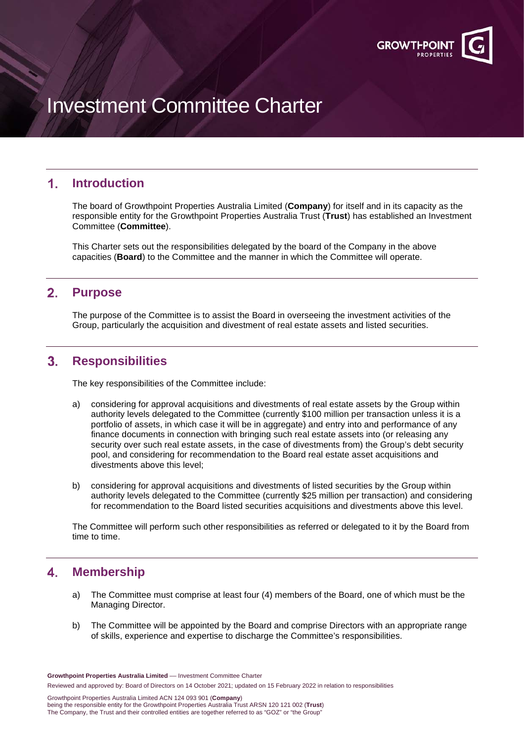

# Investment Committee Charter

# 1. **Introduction**

The board of Growthpoint Properties Australia Limited (**Company**) for itself and in its capacity as the responsible entity for the Growthpoint Properties Australia Trust (**Trust**) has established an Investment Committee (**Committee**).

This Charter sets out the responsibilities delegated by the board of the Company in the above capacities (**Board**) to the Committee and the manner in which the Committee will operate.

## $2.$ **Purpose**

The purpose of the Committee is to assist the Board in overseeing the investment activities of the Group, particularly the acquisition and divestment of real estate assets and listed securities.

## $3.$ **Responsibilities**

The key responsibilities of the Committee include:

- a) considering for approval acquisitions and divestments of real estate assets by the Group within authority levels delegated to the Committee (currently \$100 million per transaction unless it is a portfolio of assets, in which case it will be in aggregate) and entry into and performance of any finance documents in connection with bringing such real estate assets into (or releasing any security over such real estate assets, in the case of divestments from) the Group's debt security pool, and considering for recommendation to the Board real estate asset acquisitions and divestments above this level;
- b) considering for approval acquisitions and divestments of listed securities by the Group within authority levels delegated to the Committee (currently \$25 million per transaction) and considering for recommendation to the Board listed securities acquisitions and divestments above this level.

The Committee will perform such other responsibilities as referred or delegated to it by the Board from time to time.

# 4. **Membership**

- a) The Committee must comprise at least four (4) members of the Board, one of which must be the Managing Director.
- b) The Committee will be appointed by the Board and comprise Directors with an appropriate range of skills, experience and expertise to discharge the Committee's responsibilities.

**Growthpoint Properties Australia Limited** –– Investment Committee Charter Reviewed and approved by: Board of Directors on 14 October 2021; updated on 15 February 2022 in relation to responsibilities

Growthpoint Properties Australia Limited ACN 124 093 901 (**Company**) being the responsible entity for the Growthpoint Properties Australia Trust ARSN 120 121 002 (**Trust**) The Company, the Trust and their controlled entities are together referred to as "GOZ" or "the Group"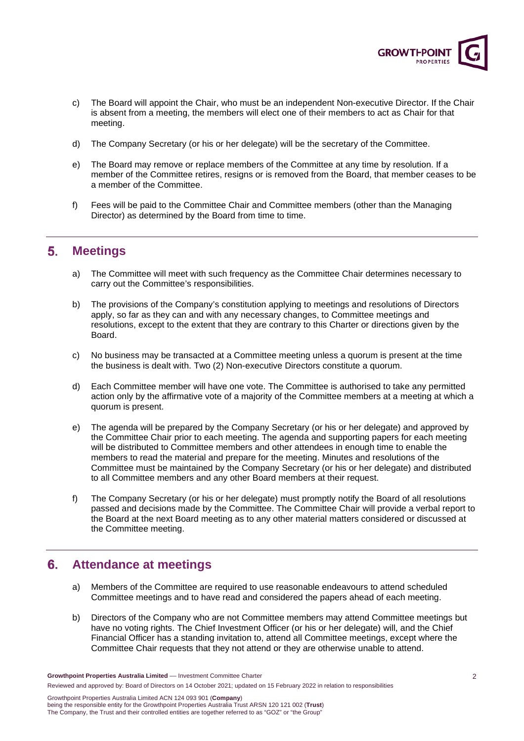

- c) The Board will appoint the Chair, who must be an independent Non-executive Director. If the Chair is absent from a meeting, the members will elect one of their members to act as Chair for that meeting.
- d) The Company Secretary (or his or her delegate) will be the secretary of the Committee.
- e) The Board may remove or replace members of the Committee at any time by resolution. If a member of the Committee retires, resigns or is removed from the Board, that member ceases to be a member of the Committee.
- f) Fees will be paid to the Committee Chair and Committee members (other than the Managing Director) as determined by the Board from time to time.

### $5.$ **Meetings**

- a) The Committee will meet with such frequency as the Committee Chair determines necessary to carry out the Committee's responsibilities.
- b) The provisions of the Company's constitution applying to meetings and resolutions of Directors apply, so far as they can and with any necessary changes, to Committee meetings and resolutions, except to the extent that they are contrary to this Charter or directions given by the Board.
- c) No business may be transacted at a Committee meeting unless a quorum is present at the time the business is dealt with. Two (2) Non-executive Directors constitute a quorum.
- d) Each Committee member will have one vote. The Committee is authorised to take any permitted action only by the affirmative vote of a majority of the Committee members at a meeting at which a quorum is present.
- e) The agenda will be prepared by the Company Secretary (or his or her delegate) and approved by the Committee Chair prior to each meeting. The agenda and supporting papers for each meeting will be distributed to Committee members and other attendees in enough time to enable the members to read the material and prepare for the meeting. Minutes and resolutions of the Committee must be maintained by the Company Secretary (or his or her delegate) and distributed to all Committee members and any other Board members at their request.
- f) The Company Secretary (or his or her delegate) must promptly notify the Board of all resolutions passed and decisions made by the Committee. The Committee Chair will provide a verbal report to the Board at the next Board meeting as to any other material matters considered or discussed at the Committee meeting.

## $6.$ **Attendance at meetings**

- a) Members of the Committee are required to use reasonable endeavours to attend scheduled Committee meetings and to have read and considered the papers ahead of each meeting.
- b) Directors of the Company who are not Committee members may attend Committee meetings but have no voting rights. The Chief Investment Officer (or his or her delegate) will, and the Chief Financial Officer has a standing invitation to, attend all Committee meetings, except where the Committee Chair requests that they not attend or they are otherwise unable to attend.

Growthpoint Properties Australia Limited ACN 124 093 901 (**Company**) being the responsible entity for the Growthpoint Properties Australia Trust ARSN 120 121 002 (**Trust**) The Company, the Trust and their controlled entities are together referred to as "GOZ" or "the Group"